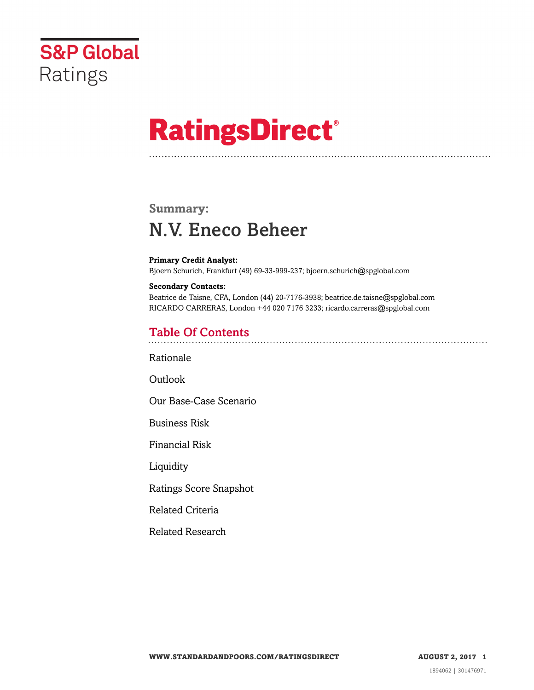

# **RatingsDirect®**

## **Summary:** N.V. Eneco Beheer

**Primary Credit Analyst:** Bjoern Schurich, Frankfurt (49) 69-33-999-237; bjoern.schurich@spglobal.com

**Secondary Contacts:** Beatrice de Taisne, CFA, London (44) 20-7176-3938; beatrice.de.taisne@spglobal.com RICARDO CARRERAS, London +44 020 7176 3233; ricardo.carreras@spglobal.com

## Table Of Contents

[Rationale](#page-1-0)

[Outlook](#page--1-0)

[Our Base-Case Scenario](#page-2-0)

[Business Risk](#page-3-0)

[Financial Risk](#page-3-1)

**[Liquidity](#page-3-2)** 

[Ratings Score Snapshot](#page-4-0)

[Related Criteria](#page-5-0)

[Related Research](#page-5-1)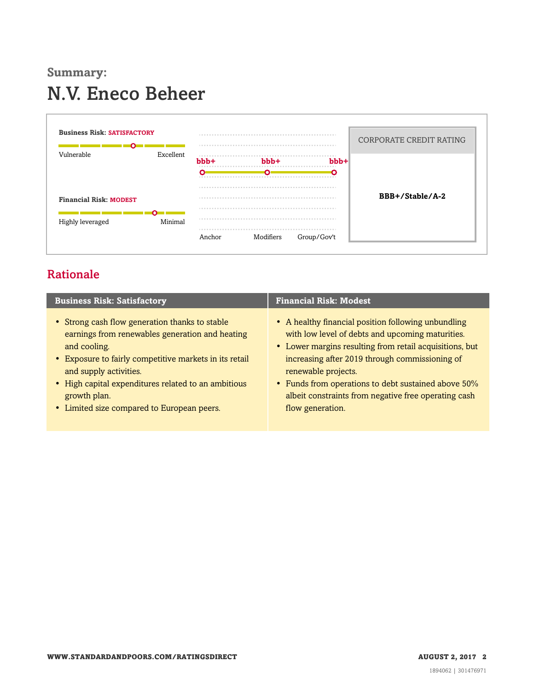# **Summary:** N.V. Eneco Beheer



## <span id="page-1-0"></span>Rationale

| <b>Business Risk: Satisfactory</b>                     | <b>Financial Risk: Modest</b>                           |
|--------------------------------------------------------|---------------------------------------------------------|
| • Strong cash flow generation thanks to stable         | • A healthy financial position following unbundling     |
| earnings from renewables generation and heating        | with low level of debts and upcoming maturities.        |
| and cooling.                                           | • Lower margins resulting from retail acquisitions, but |
| • Exposure to fairly competitive markets in its retail | increasing after 2019 through commissioning of          |
| and supply activities.                                 | renewable projects.                                     |
| • High capital expenditures related to an ambitious    | • Funds from operations to debt sustained above 50%     |
| growth plan.                                           | albeit constraints from negative free operating cash    |
| • Limited size compared to European peers.             | flow generation.                                        |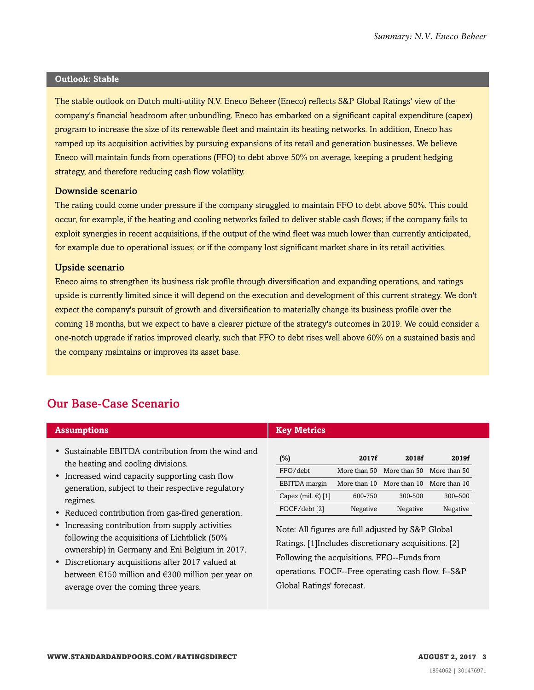#### **Outlook: Stable**

The stable outlook on Dutch multi-utility N.V. Eneco Beheer (Eneco) reflects S&P Global Ratings' view of the company's financial headroom after unbundling. Eneco has embarked on a significant capital expenditure (capex) program to increase the size of its renewable fleet and maintain its heating networks. In addition, Eneco has ramped up its acquisition activities by pursuing expansions of its retail and generation businesses. We believe Eneco will maintain funds from operations (FFO) to debt above 50% on average, keeping a prudent hedging strategy, and therefore reducing cash flow volatility.

#### Downside scenario

The rating could come under pressure if the company struggled to maintain FFO to debt above 50%. This could occur, for example, if the heating and cooling networks failed to deliver stable cash flows; if the company fails to exploit synergies in recent acquisitions, if the output of the wind fleet was much lower than currently anticipated, for example due to operational issues; or if the company lost significant market share in its retail activities.

#### Upside scenario

Eneco aims to strengthen its business risk profile through diversification and expanding operations, and ratings upside is currently limited since it will depend on the execution and development of this current strategy. We don't expect the company's pursuit of growth and diversification to materially change its business profile over the coming 18 months, but we expect to have a clearer picture of the strategy's outcomes in 2019. We could consider a one-notch upgrade if ratios improved clearly, such that FFO to debt rises well above 60% on a sustained basis and the company maintains or improves its asset base.

### <span id="page-2-0"></span>Our Base-Case Scenario

| <b>Assumptions</b>                                                                                                                                             | <b>Key Metrics</b>                                                                                         |              |                                        |              |
|----------------------------------------------------------------------------------------------------------------------------------------------------------------|------------------------------------------------------------------------------------------------------------|--------------|----------------------------------------|--------------|
| • Sustainable EBITDA contribution from the wind and<br>the heating and cooling divisions.                                                                      | $(\%)$                                                                                                     | 2017f        | 2018f                                  | 2019f        |
| • Increased wind capacity supporting cash flow<br>generation, subject to their respective regulatory<br>regimes.                                               | FFO/debt                                                                                                   |              | More than 50 More than 50 More than 50 |              |
|                                                                                                                                                                | EBITDA margin                                                                                              | More than 10 | More than 10                           | More than 10 |
|                                                                                                                                                                | Capex (mil. $\in$ ) [1]                                                                                    | 600-750      | 300-500                                | 300-500      |
| • Reduced contribution from gas-fired generation.                                                                                                              | FOCF/debt [2]                                                                                              | Negative     | Negative                               | Negative     |
| Increasing contribution from supply activities<br>$\bullet$<br>following the acquisitions of Lichtblick (50%<br>ownership) in Germany and Eni Belgium in 2017. | Note: All figures are full adjusted by S&P Global<br>Ratings. [1] Includes discretionary acquisitions. [2] |              |                                        |              |

• Discretionary acquisitions after 2017 valued at between €150 million and €300 million per year on average over the coming three years.

Following the acquisitions. FFO--Funds from operations. FOCF--Free operating cash flow. f--S&P Global Ratings' forecast.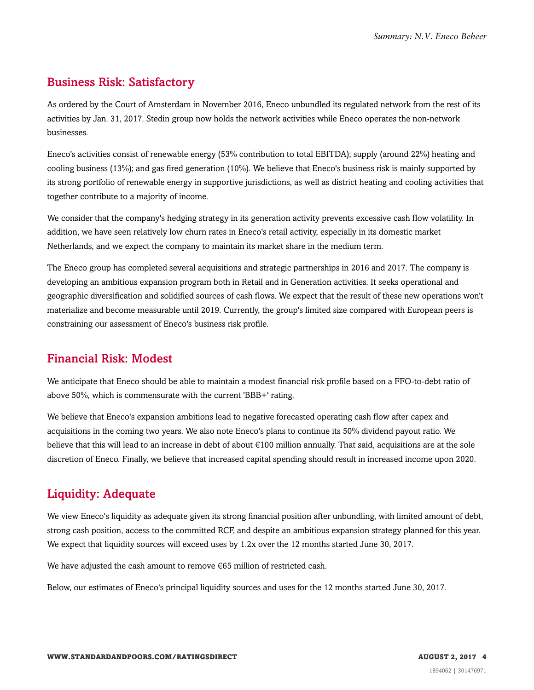## <span id="page-3-0"></span>Business Risk: Satisfactory

As ordered by the Court of Amsterdam in November 2016, Eneco unbundled its regulated network from the rest of its activities by Jan. 31, 2017. Stedin group now holds the network activities while Eneco operates the non-network businesses.

Eneco's activities consist of renewable energy (53% contribution to total EBITDA); supply (around 22%) heating and cooling business (13%); and gas fired generation (10%). We believe that Eneco's business risk is mainly supported by its strong portfolio of renewable energy in supportive jurisdictions, as well as district heating and cooling activities that together contribute to a majority of income.

We consider that the company's hedging strategy in its generation activity prevents excessive cash flow volatility. In addition, we have seen relatively low churn rates in Eneco's retail activity, especially in its domestic market Netherlands, and we expect the company to maintain its market share in the medium term.

The Eneco group has completed several acquisitions and strategic partnerships in 2016 and 2017. The company is developing an ambitious expansion program both in Retail and in Generation activities. It seeks operational and geographic diversification and solidified sources of cash flows. We expect that the result of these new operations won't materialize and become measurable until 2019. Currently, the group's limited size compared with European peers is constraining our assessment of Eneco's business risk profile.

## <span id="page-3-1"></span>Financial Risk: Modest

We anticipate that Eneco should be able to maintain a modest financial risk profile based on a FFO-to-debt ratio of above 50%, which is commensurate with the current 'BBB+' rating.

We believe that Eneco's expansion ambitions lead to negative forecasted operating cash flow after capex and acquisitions in the coming two years. We also note Eneco's plans to continue its 50% dividend payout ratio. We believe that this will lead to an increase in debt of about €100 million annually. That said, acquisitions are at the sole discretion of Eneco. Finally, we believe that increased capital spending should result in increased income upon 2020.

## <span id="page-3-2"></span>Liquidity: Adequate

We view Eneco's liquidity as adequate given its strong financial position after unbundling, with limited amount of debt, strong cash position, access to the committed RCF, and despite an ambitious expansion strategy planned for this year. We expect that liquidity sources will exceed uses by 1.2x over the 12 months started June 30, 2017.

We have adjusted the cash amount to remove €65 million of restricted cash.

Below, our estimates of Eneco's principal liquidity sources and uses for the 12 months started June 30, 2017.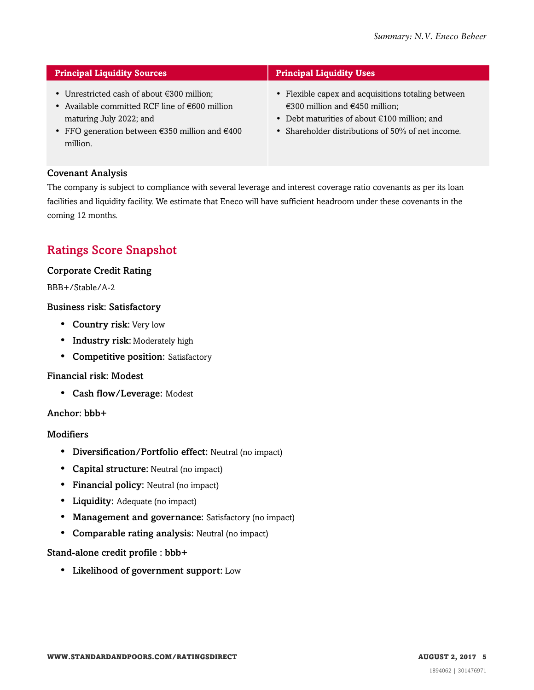| <b>Principal Liquidity Sources</b>                                                                                                                                                                                           | <b>Principal Liquidity Uses</b>                                                                                                                                                                  |  |  |  |
|------------------------------------------------------------------------------------------------------------------------------------------------------------------------------------------------------------------------------|--------------------------------------------------------------------------------------------------------------------------------------------------------------------------------------------------|--|--|--|
| • Unrestricted cash of about $\epsilon$ 300 million;<br>• Available committed RCF line of $\epsilon$ 600 million<br>maturing July 2022; and<br>• FFO generation between $\epsilon$ 350 million and $\epsilon$ 400<br>million | • Flexible capex and acquisitions totaling between<br>€300 million and $€450$ million;<br>• Debt maturities of about $€100$ million; and<br>• Shareholder distributions of $50\%$ of net income. |  |  |  |

#### Covenant Analysis

The company is subject to compliance with several leverage and interest coverage ratio covenants as per its loan facilities and liquidity facility. We estimate that Eneco will have sufficient headroom under these covenants in the coming 12 months.

## <span id="page-4-0"></span>Ratings Score Snapshot

#### Corporate Credit Rating

BBB+/Stable/A-2

#### Business risk: Satisfactory

- Country risk: Very low
- Industry risk: Moderately high
- Competitive position: Satisfactory

#### Financial risk: Modest

• Cash flow/Leverage: Modest

#### Anchor: bbb+

#### **Modifiers**

- Diversification/Portfolio effect: Neutral (no impact)
- Capital structure: Neutral (no impact)
- Financial policy: Neutral (no impact)
- Liquidity: Adequate (no impact)
- Management and governance: Satisfactory (no impact)
- Comparable rating analysis: Neutral (no impact)

#### Stand-alone credit profile : bbb+

• Likelihood of government support: Low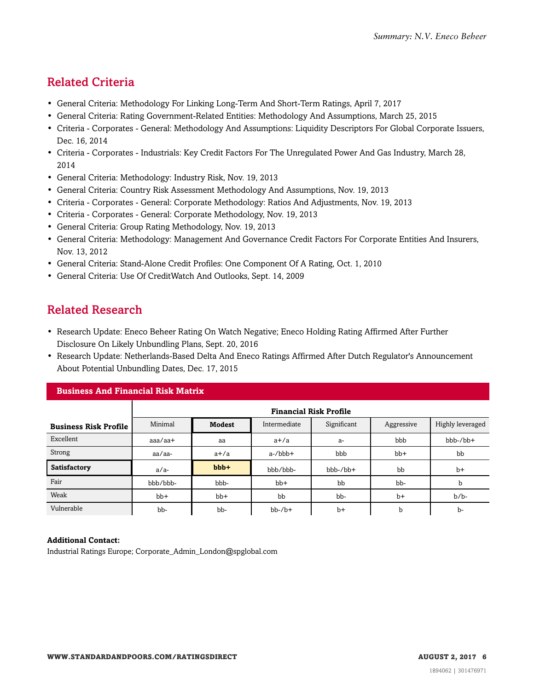## <span id="page-5-0"></span>Related Criteria

- General Criteria: Methodology For Linking Long-Term And Short-Term Ratings, April 7, 2017
- General Criteria: Rating Government-Related Entities: Methodology And Assumptions, March 25, 2015
- Criteria Corporates General: Methodology And Assumptions: Liquidity Descriptors For Global Corporate Issuers, Dec. 16, 2014
- Criteria Corporates Industrials: Key Credit Factors For The Unregulated Power And Gas Industry, March 28, 2014
- General Criteria: Methodology: Industry Risk, Nov. 19, 2013
- General Criteria: Country Risk Assessment Methodology And Assumptions, Nov. 19, 2013
- Criteria Corporates General: Corporate Methodology: Ratios And Adjustments, Nov. 19, 2013
- Criteria Corporates General: Corporate Methodology, Nov. 19, 2013
- General Criteria: Group Rating Methodology, Nov. 19, 2013
- General Criteria: Methodology: Management And Governance Credit Factors For Corporate Entities And Insurers, Nov. 13, 2012
- General Criteria: Stand-Alone Credit Profiles: One Component Of A Rating, Oct. 1, 2010
- <span id="page-5-1"></span>• General Criteria: Use Of CreditWatch And Outlooks, Sept. 14, 2009

## Related Research

- Research Update: Eneco Beheer Rating On Watch Negative; Eneco Holding Rating Affirmed After Further Disclosure On Likely Unbundling Plans, Sept. 20, 2016
- Research Update: Netherlands-Based Delta And Eneco Ratings Affirmed After Dutch Regulator's Announcement About Potential Unbundling Dates, Dec. 17, 2015

| <b>Business And Financial Risk Matrix</b> |                               |        |              |             |            |                  |  |  |
|-------------------------------------------|-------------------------------|--------|--------------|-------------|------------|------------------|--|--|
|                                           | <b>Financial Risk Profile</b> |        |              |             |            |                  |  |  |
| <b>Business Risk Profile</b>              | Minimal                       | Modest | Intermediate | Significant | Aggressive | Highly leveraged |  |  |
| Excellent                                 | $a$ aa $/a$ a $+$             | aa     | $a+/a$       | $a-$        | bbb        | $bbb-/bb+$       |  |  |
| Strong                                    | aa/aa-                        | $a+/a$ | $a$ -/ $bbb$ | bbb         | $bb+$      | bb               |  |  |
| Satisfactory                              | $a/a-$                        | bbb+   | bbb/bbb-     | $bbb-/bb+$  | bb         | $b+$             |  |  |
| Fair                                      | bbb/bbb-                      | bbb-   | $bb+$        | bb          | bb-        | b                |  |  |
| Weak                                      | $bb+$                         | $bb+$  | bb           | bb-         | $b+$       | $b/b$ -          |  |  |
| Vulnerable                                | bb-                           | bb-    | $bb-7b+$     | $b+$        | b          | $b-$             |  |  |

#### **Additional Contact:**

Industrial Ratings Europe; Corporate\_Admin\_London@spglobal.com